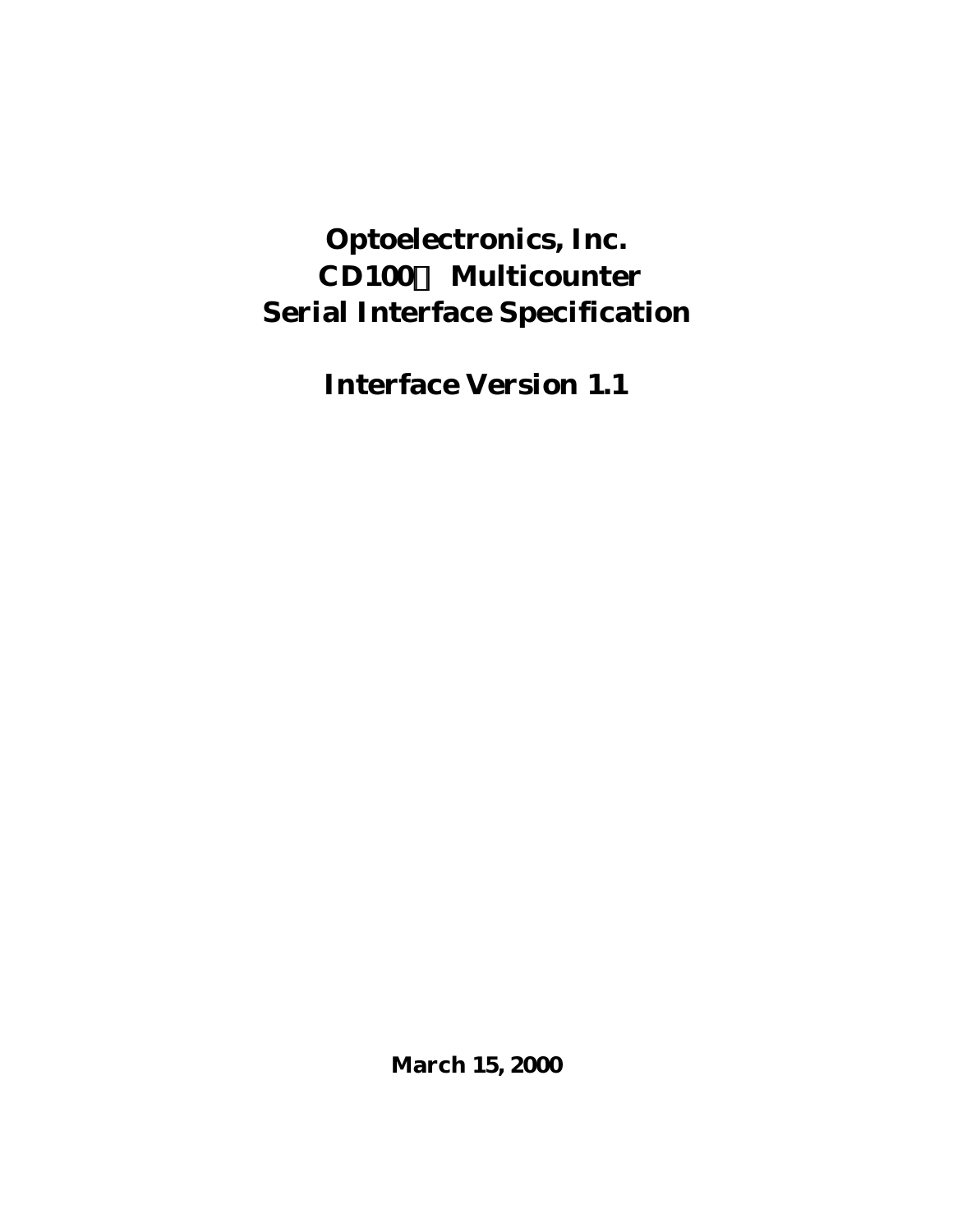# **Optoelectronics, Inc. CD100Ô Multicounter Serial Interface Specification**

**Interface Version 1.1**

**March 15, 2000**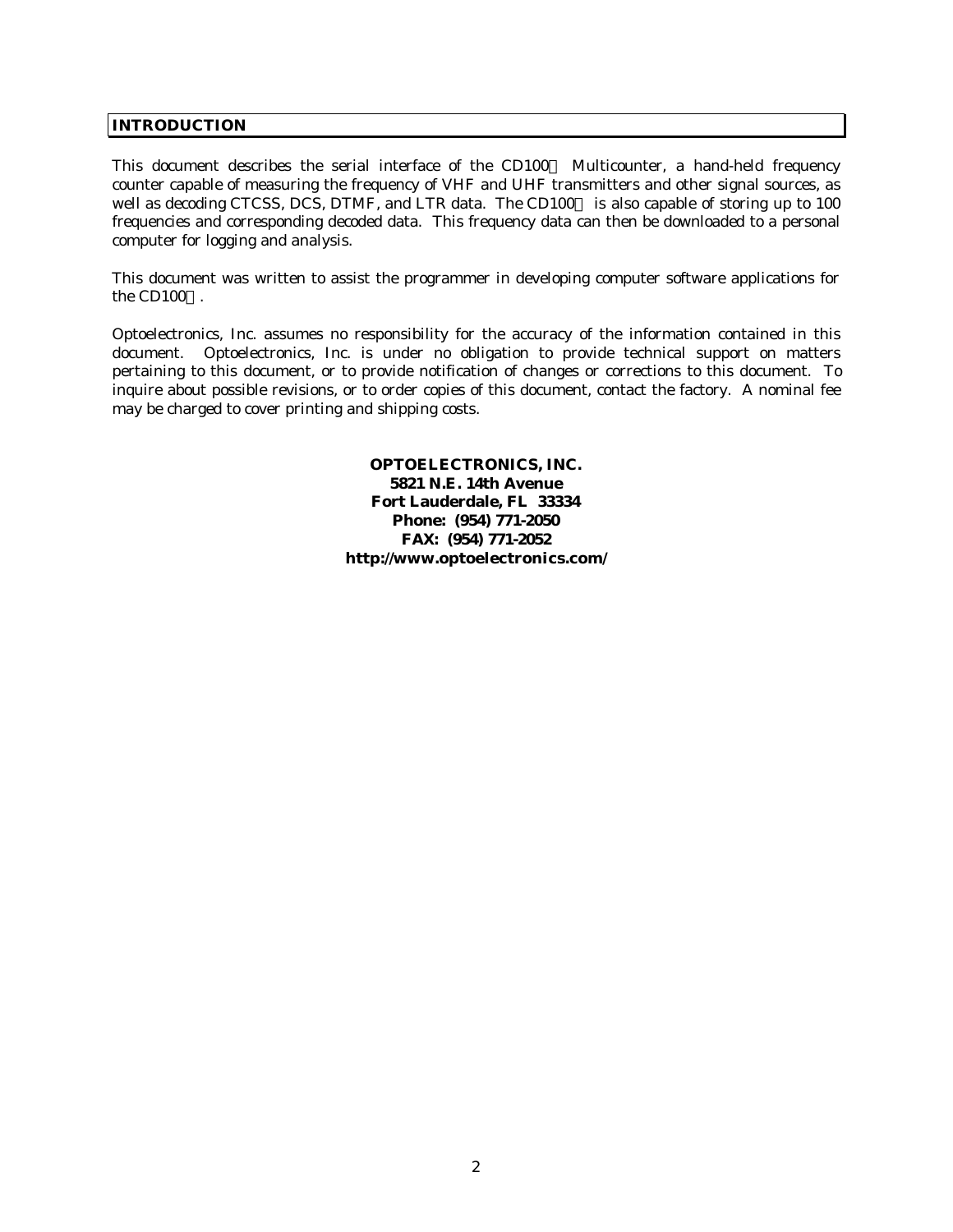### **INTRODUCTION**

This document describes the serial interface of the  $CD100<sup>TM</sup>$  Multicounter, a hand-held frequency counter capable of measuring the frequency of VHF and UHF transmitters and other signal sources, as well as decoding CTCSS, DCS, DTMF, and LTR data. The CD100TM is also capable of storing up to 100 frequencies and corresponding decoded data. This frequency data can then be downloaded to a personal computer for logging and analysis.

This document was written to assist the programmer in developing computer software applications for the CD100 $TM$ .

Optoelectronics, Inc. assumes no responsibility for the accuracy of the information contained in this document. Optoelectronics, Inc. is under no obligation to provide technical support on matters pertaining to this document, or to provide notification of changes or corrections to this document. To inquire about possible revisions, or to order copies of this document, contact the factory. A nominal fee may be charged to cover printing and shipping costs.

> **OPTOELECTRONICS, INC. 5821 N.E. 14th Avenue Fort Lauderdale, FL 33334 Phone: (954) 771-2050 FAX: (954) 771-2052 http://www.optoelectronics.com/**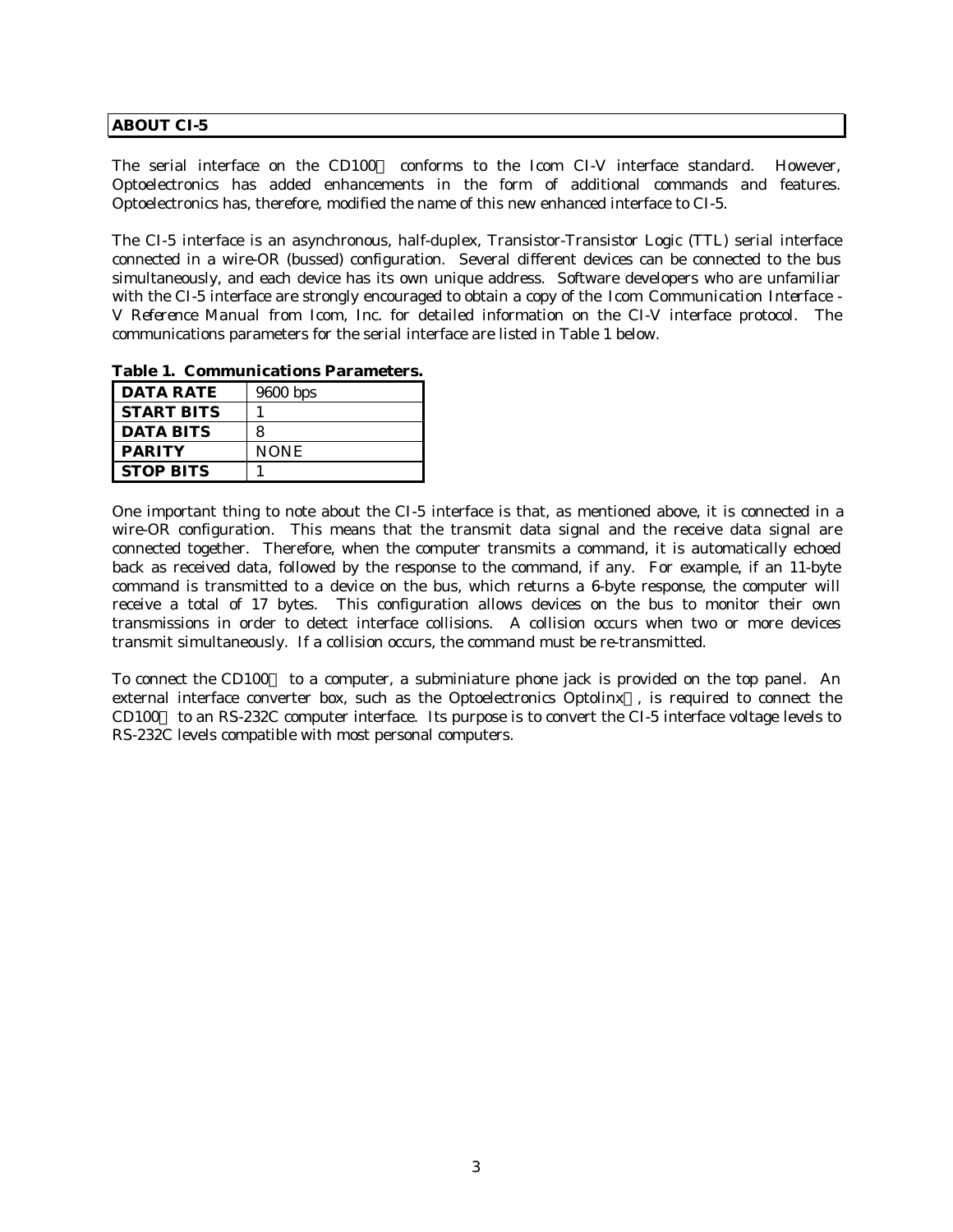#### **ABOUT CI-5**

The serial interface on the CD100 $\text{m}$  conforms to the Icom CI-V interface standard. However, Optoelectronics has added enhancements in the form of additional commands and features. Optoelectronics has, therefore, modified the name of this new enhanced interface to CI-5.

The CI-5 interface is an asynchronous, half-duplex, Transistor-Transistor Logic (TTL) serial interface connected in a wire-OR (bussed) configuration. Several different devices can be connected to the bus simultaneously, and each device has its own unique address. Software developers who are unfamiliar with the CI-5 interface are strongly encouraged to obtain a copy of the *Icom Communication Interface - V Reference Manual* from Icom, Inc. for detailed information on the CI-V interface protocol. The communications parameters for the serial interface are listed in Table 1 below.

| <b>DATA RATE</b>  | $9600$ bps  |  |  |  |  |
|-------------------|-------------|--|--|--|--|
| <b>START BITS</b> |             |  |  |  |  |
| <b>DATA BITS</b>  | 8           |  |  |  |  |
| <b>PARITY</b>     | <b>NONE</b> |  |  |  |  |
| <b>STOP BITS</b>  |             |  |  |  |  |

**Table 1. Communications Parameters.**

One important thing to note about the CI-5 interface is that, as mentioned above, it is connected in a wire-OR configuration. This means that the transmit data signal and the receive data signal are connected together. Therefore, when the computer transmits a command, it is automatically echoed back as received data, followed by the response to the command, if any. For example, if an 11-byte command is transmitted to a device on the bus, which returns a 6-byte response, the computer will receive a total of 17 bytes. This configuration allows devices on the bus to monitor their own transmissions in order to detect interface collisions. A collision occurs when two or more devices transmit simultaneously. If a collision occurs, the command must be re-transmitted.

To connect the CD100<sup>TM</sup> to a computer, a subminiature phone jack is provided on the top panel. An external interface converter box, such as the Optoelectronics Optolinx<sup> $TM$ </sup>, is required to connect the CD100™ to an RS-232C computer interface. Its purpose is to convert the CI-5 interface voltage levels to RS-232C levels compatible with most personal computers.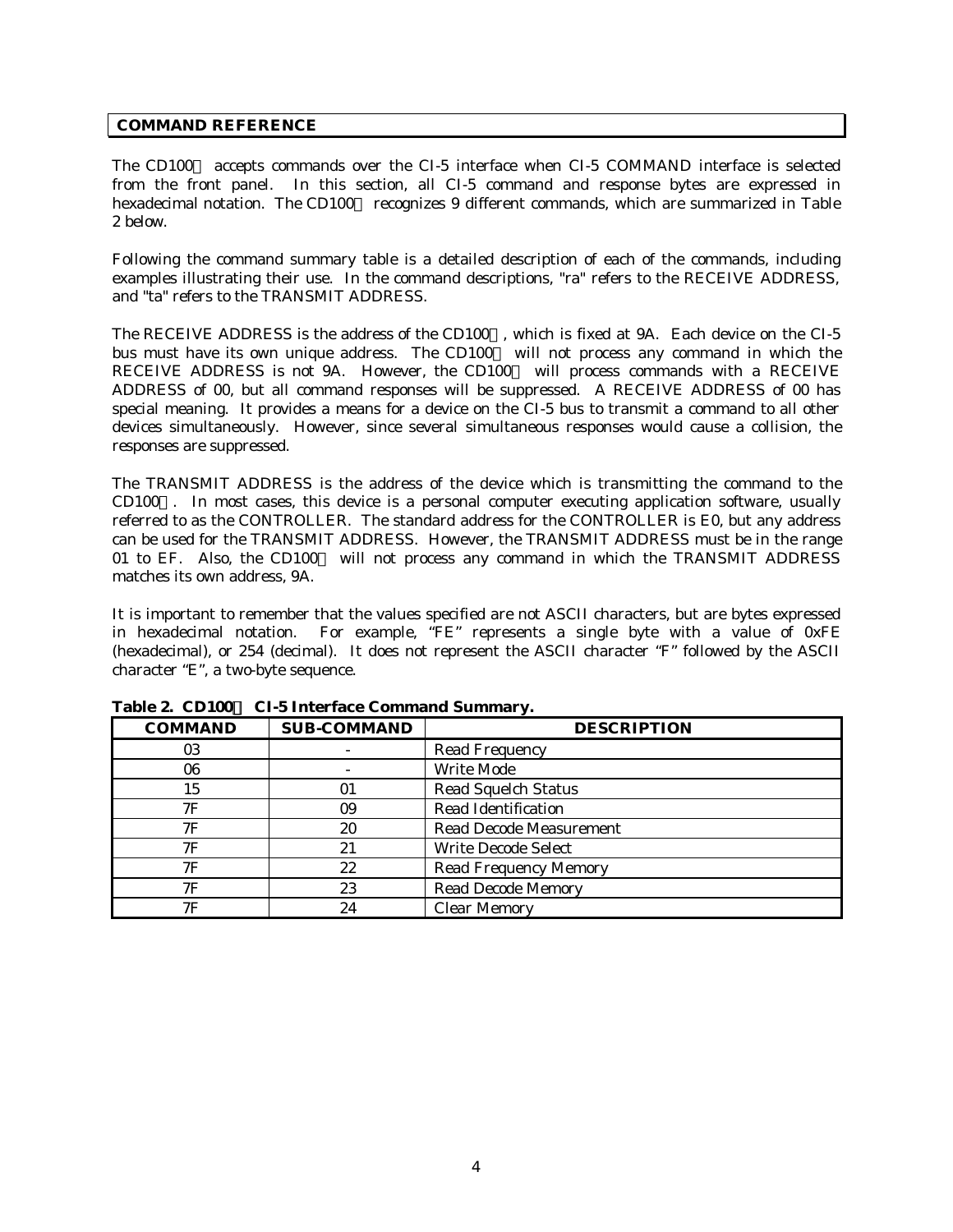#### **COMMAND REFERENCE**

The CD100 $\text{TM}$  accepts commands over the CI-5 interface when CI-5 COMMAND interface is selected from the front panel. In this section, all CI-5 command and response bytes are expressed in hexadecimal notation. The CD100 $^{TM}$  recognizes 9 different commands, which are summarized in Table 2 below.

Following the command summary table is a detailed description of each of the commands, including examples illustrating their use. In the command descriptions, "ra" refers to the RECEIVE ADDRESS, and "ta" refers to the TRANSMIT ADDRESS.

The RECEIVE ADDRESS is the address of the CD100 $^{TM}$ , which is fixed at 9A. Each device on the CI-5 bus must have its own unique address. The CD100 $m$  will not process any command in which the RECEIVE ADDRESS is not 9A. However, the CD100 $^{TM}$  will process commands with a RECEIVE ADDRESS of 00, but all command responses will be suppressed. A RECEIVE ADDRESS of 00 has special meaning. It provides a means for a device on the CI-5 bus to transmit a command to all other devices simultaneously. However, since several simultaneous responses would cause a collision, the responses are suppressed.

The TRANSMIT ADDRESS is the address of the device which is transmitting the command to the  $CD100<sup>TM</sup>$ . In most cases, this device is a personal computer executing application software, usually referred to as the CONTROLLER. The standard address for the CONTROLLER is E0, but any address can be used for the TRANSMIT ADDRESS. However, the TRANSMIT ADDRESS must be in the range 01 to EF. Also, the CD100 $\text{TM}$  will not process any command in which the TRANSMIT ADDRESS matches its own address, 9A.

It is important to remember that the values specified are not ASCII characters, but are bytes expressed in hexadecimal notation. For example, "FE" represents a single byte with a value of 0xFE (hexadecimal), or 254 (decimal). It does not represent the ASCII character "F" followed by the ASCII character "E", a two-byte sequence.

| <b>COMMAND</b> | <b>SUB-COMMAND</b> | <b>DESCRIPTION</b>             |
|----------------|--------------------|--------------------------------|
| 03             |                    | <b>Read Frequency</b>          |
| 06             |                    | Write Mode                     |
| 15             | 01                 | <b>Read Squelch Status</b>     |
| 7F             | 09                 | <b>Read Identification</b>     |
| 7F             | 20                 | <b>Read Decode Measurement</b> |
| 7Ε             | 21                 | <b>Write Decode Select</b>     |
| 7F             | 22                 | <b>Read Frequency Memory</b>   |
| 7F             | 23                 | <b>Read Decode Memory</b>      |
| 7F             | 24                 | <b>Clear Memory</b>            |

**Table 2. CD100Ô CI-5 Interface Command Summary.**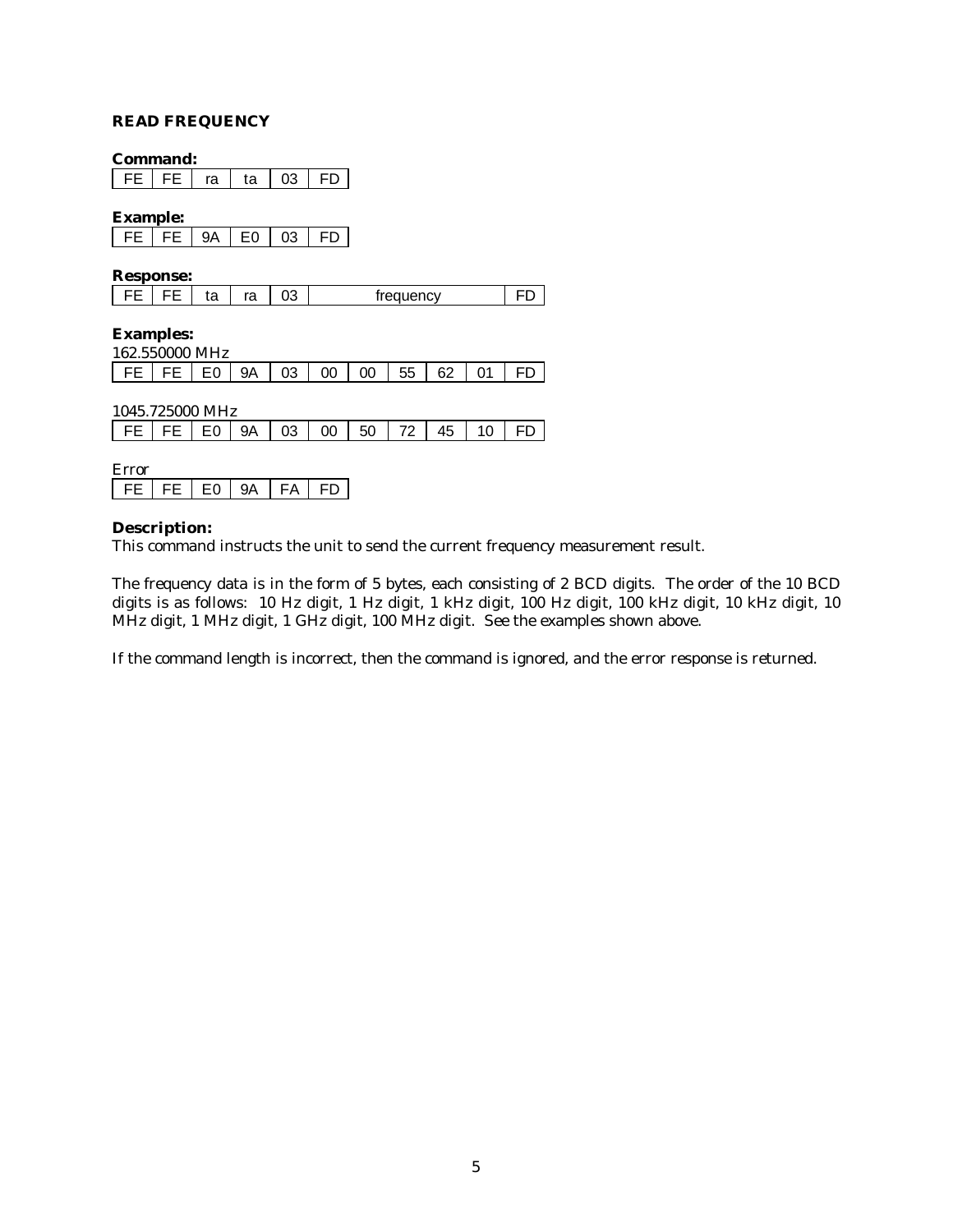#### **READ FREQUENCY**

#### **Command:**

FE | FE | ra | ta | 03 | FD |

#### **Example:**

#### **Response:**

| $\sim$<br>treauency<br><br>ια<br>u |
|------------------------------------|
|------------------------------------|

## **Examples:**

| 162.550000 MHz                                       |  |  |  |  |  |
|------------------------------------------------------|--|--|--|--|--|
| FE   FE   E0   9A   03   00   00   55   62   01   FD |  |  |  |  |  |

| FE   FE   E0   9A   03   00 | $50 \mid 72 \mid$ | 45 | 10 I |  |
|-----------------------------|-------------------|----|------|--|

| -- |     |     |     |  |
|----|-----|-----|-----|--|
|    | . . | . . | - - |  |

#### **Description:**

This command instructs the unit to send the current frequency measurement result.

The frequency data is in the form of 5 bytes, each consisting of 2 BCD digits. The order of the 10 BCD digits is as follows: 10 Hz digit, 1 Hz digit, 1 kHz digit, 100 Hz digit, 100 kHz digit, 10 kHz digit, 10 MHz digit, 1 MHz digit, 1 GHz digit, 100 MHz digit. See the examples shown above.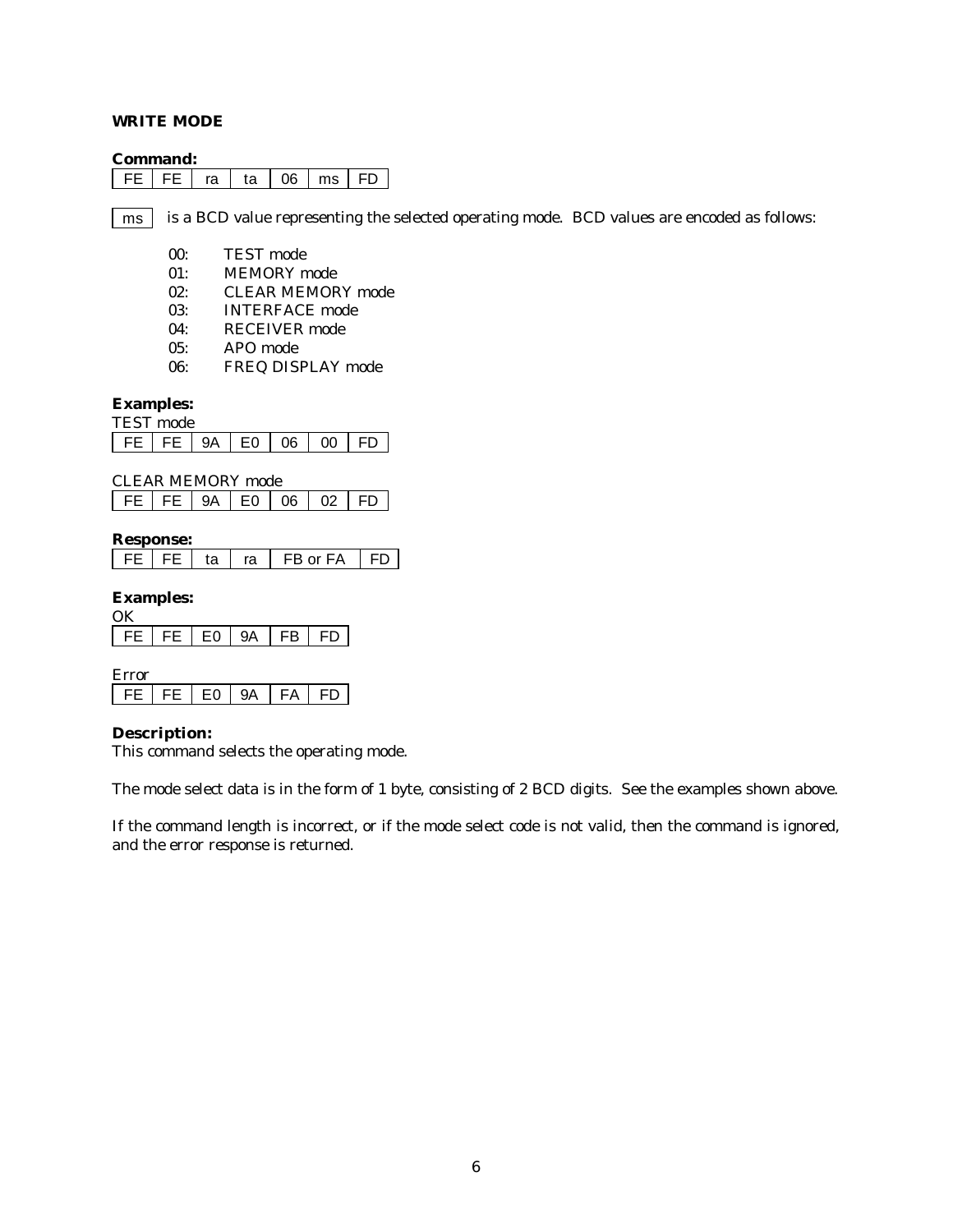#### **WRITE MODE**

#### **Command:**

|  |  |  | ra | ta | $\overline{0}$ | ms |  |
|--|--|--|----|----|----------------|----|--|
|--|--|--|----|----|----------------|----|--|

is a BCD value representing the selected operating mode. BCD values are encoded as follows: ms

- 00: TEST mode
- 01: MEMORY mode
- 02: CLEAR MEMORY mode
- 03: INTERFACE mode
- 04: RECEIVER mode
- 05: APO mode
- 06: FREQ DISPLAY mode

#### **Examples:**

|      | mode |     |    |   |  |
|------|------|-----|----|---|--|
| EE . | FE I | H() | റഞ | ന |  |

| CLEAR MEMORY mode                |  |  |  |
|----------------------------------|--|--|--|
| FE   FE   9A   E0   06   02   FD |  |  |  |

#### **Response:**

|  | ra | FB or FA |  |
|--|----|----------|--|

#### **Examples:**

| FE FE FO 9A FB FD |  |  |
|-------------------|--|--|
|                   |  |  |

| -- |   |  |   |  |
|----|---|--|---|--|
| -  | _ |  | ω |  |

#### **Description:**

This command selects the operating mode.

The mode select data is in the form of 1 byte, consisting of 2 BCD digits. See the examples shown above.

If the command length is incorrect, or if the mode select code is not valid, then the command is ignored, and the error response is returned.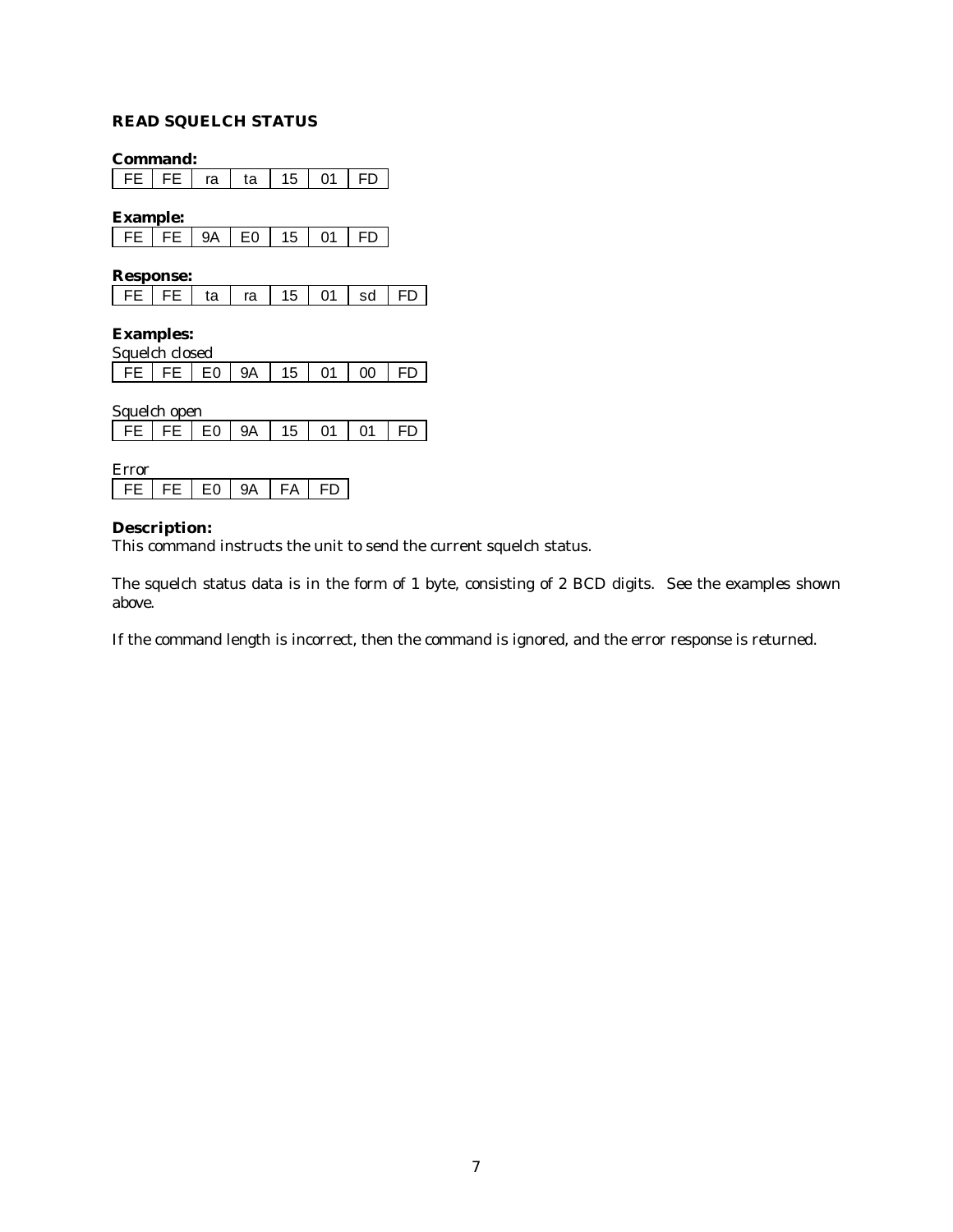## **READ SQUELCH STATUS**

**Command:**

FE | FE | ra | ta | 15 | 01 | FD |

**Example:**

| $\mathsf{I}$ | $\mathbf{v}$<br>∽ | ∩ | $\mathcal{D}$ 1 | г |
|--------------|-------------------|---|-----------------|---|

**Response:**

| FE   FE   ta   ra   15   01   sd   FD |  |  |  |  |  |  |
|---------------------------------------|--|--|--|--|--|--|
|---------------------------------------|--|--|--|--|--|--|

## **Examples:**

| Squelch closed                        |  |  |  |  |  |  |  |  |
|---------------------------------------|--|--|--|--|--|--|--|--|
| FE   FE   E0   9A   15   01   00   FD |  |  |  |  |  |  |  |  |

| Squelch open                     |  |  |  |  |  |  |  |  |  |
|----------------------------------|--|--|--|--|--|--|--|--|--|
| FE   FE   EO   9A   15   01   01 |  |  |  |  |  |  |  |  |  |
|                                  |  |  |  |  |  |  |  |  |  |

| n. |  |   |  |
|----|--|---|--|
|    |  | ▵ |  |

### **Description:**

This command instructs the unit to send the current squelch status.

The squelch status data is in the form of 1 byte, consisting of 2 BCD digits. See the examples shown above.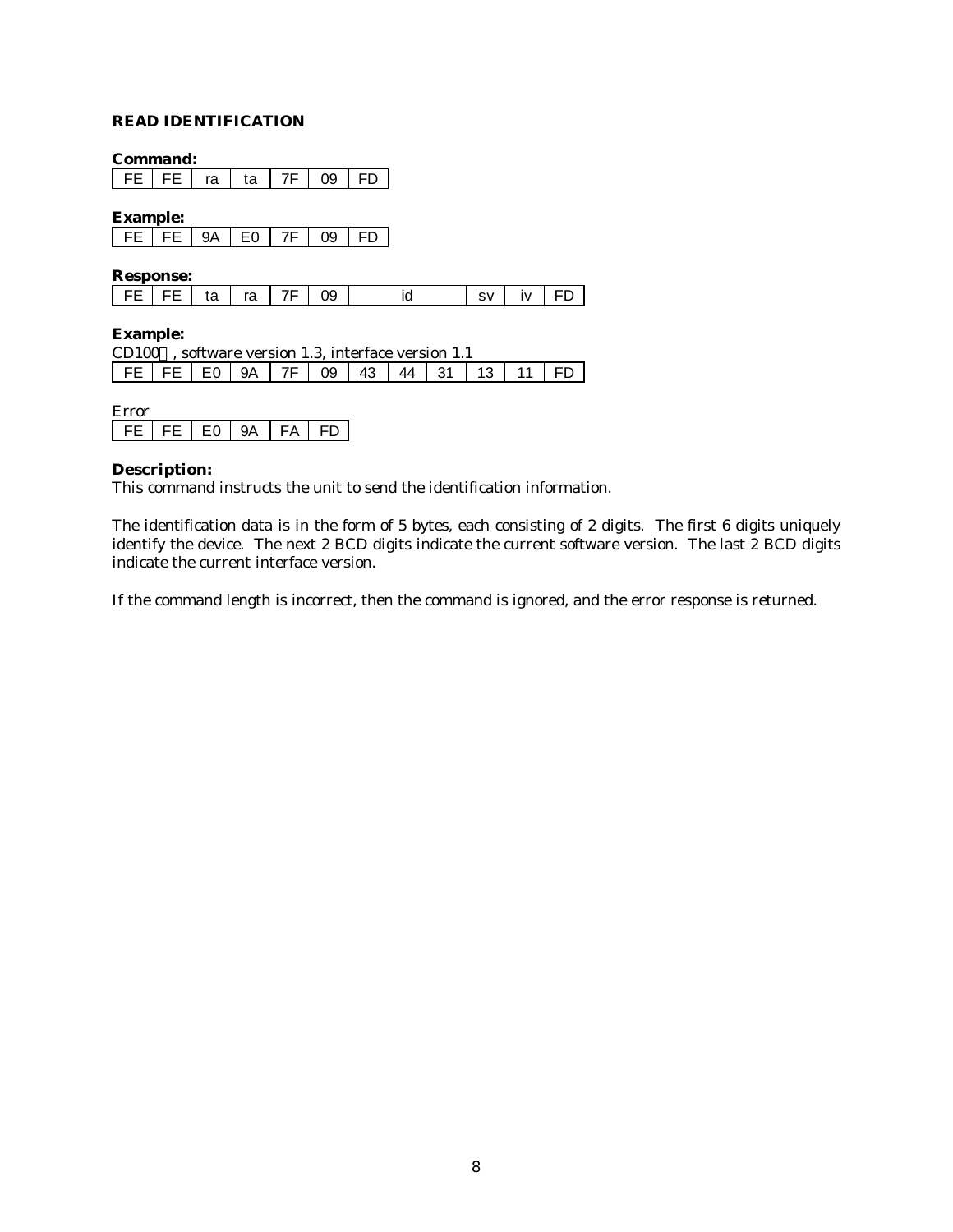## **READ IDENTIFICATION**

**Command:**

FE | FE | ra | ta | 7F | 09 | FD |

**Example:**

|  | - |  |  |
|--|---|--|--|
|  |   |  |  |

**Response:**

| FE   FE   ta   ra   7F   09 |  |  | svlivIFDI |  |
|-----------------------------|--|--|-----------|--|
|-----------------------------|--|--|-----------|--|

#### **Example:**

| CD100 $TM$ , software version 1.3, interface version 1.1 |  |  |  |  |  |  |  |  |  |  |  |
|----------------------------------------------------------|--|--|--|--|--|--|--|--|--|--|--|
| $FE$ FE E O 9A 7F 09 43 44 31 13 11 FD                   |  |  |  |  |  |  |  |  |  |  |  |

| <b>Error</b> |         |    |        |   |
|--------------|---------|----|--------|---|
| ᄄ            | FF L FO | QΔ | - FA - | ы |

#### **Description:**

This command instructs the unit to send the identification information.

The identification data is in the form of 5 bytes, each consisting of 2 digits. The first 6 digits uniquely identify the device. The next 2 BCD digits indicate the current software version. The last 2 BCD digits indicate the current interface version.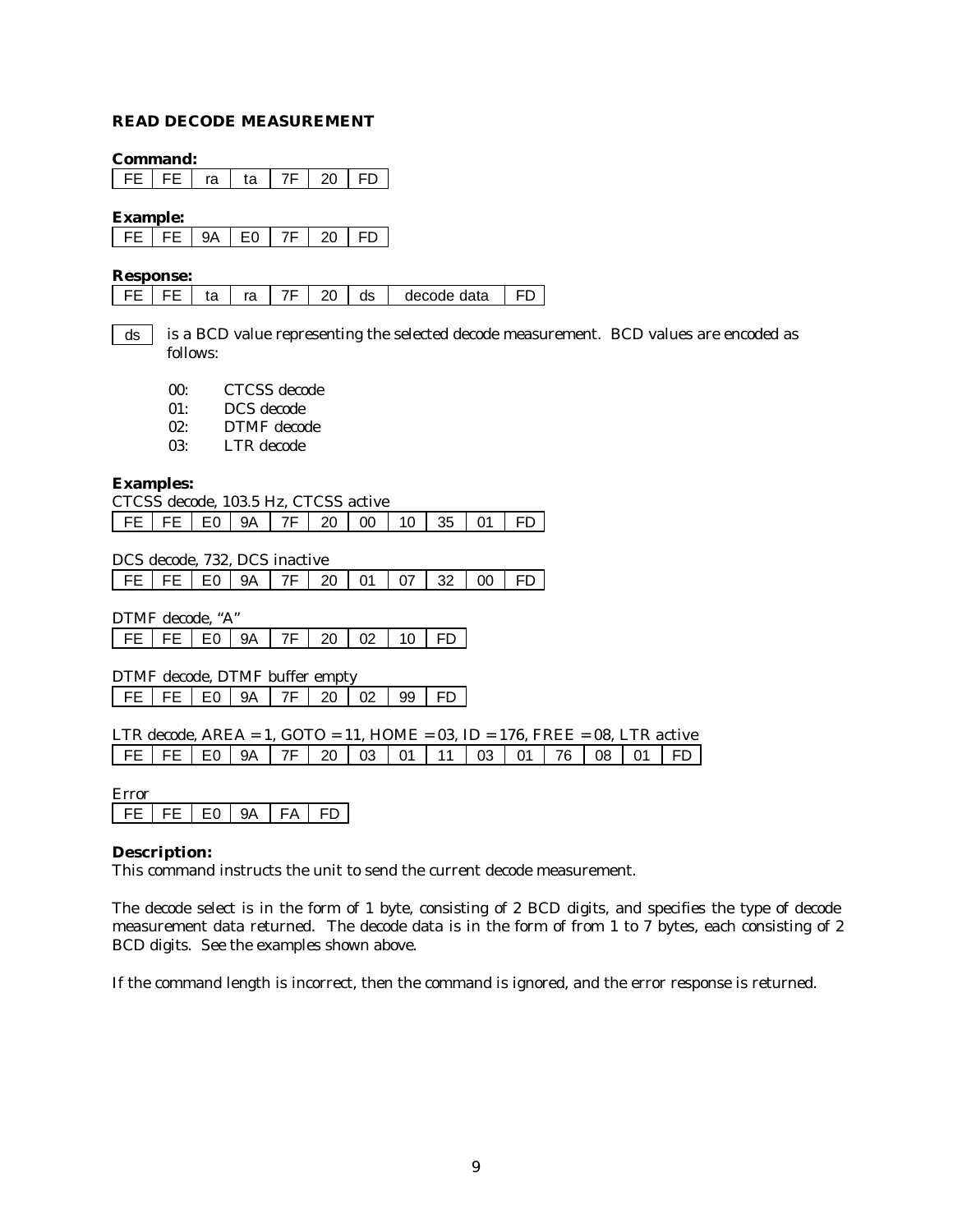#### **READ DECODE MEASUREMENT**

#### **Command:**

FE | FE | ra | ta | 7F | 20 | FD

#### **Example:**

| $\mathsf{I}$ | ΩΛ<br>$\mathcal{L}$ |  | 'n |  |
|--------------|---------------------|--|----|--|

#### **Response:**

|  |  |  | FE   FE   ta   ra   7F   20   ds   decode data   FD |  |
|--|--|--|-----------------------------------------------------|--|
|  |  |  |                                                     |  |

- is a BCD value representing the selected decode measurement. BCD values are encoded as follows: ds
	- 00: CTCSS decode
	- 01: DCS decode
	- 02: DTMF decode
	- 03: LTR decode

#### **Examples:**

| CTCSS decode. 103.5 Hz. CTCSS active |  |  |  |  |  |  |  |  |  |  |  |
|--------------------------------------|--|--|--|--|--|--|--|--|--|--|--|
| FEFEE09A7F200103501FD                |  |  |  |  |  |  |  |  |  |  |  |

DCS decode, 732, DCS inactive

|  |  |  |  |  |  | FE   FE   E0   9A   7F   20   01   07   32   00   FD |  |  |  |  |
|--|--|--|--|--|--|------------------------------------------------------|--|--|--|--|
|--|--|--|--|--|--|------------------------------------------------------|--|--|--|--|

DTMF decode, "A" FE | FE | E0 | 9A | 7F | 20 | 02 | 10 | FD

DTMF decode, DTMF buffer empty FE | FE | E0 | 9A | 7F | 20 | 02 | 99 | FD

| LTR decode, $AREA = 1$ , $GOTO = 11$ , $HOME = 03$ , $ID = 176$ , $FREE = 08$ , LTR active |  |  |  |  |  |  |  |
|--------------------------------------------------------------------------------------------|--|--|--|--|--|--|--|
| FE FE E0 9A 7F 20 03 01 11 03 01 76 08 01 FD                                               |  |  |  |  |  |  |  |

#### Error

FE FE E0 9A FA FD

#### **Description:**

This command instructs the unit to send the current decode measurement.

The decode select is in the form of 1 byte, consisting of 2 BCD digits, and specifies the type of decode measurement data returned. The decode data is in the form of from 1 to 7 bytes, each consisting of 2 BCD digits. See the examples shown above.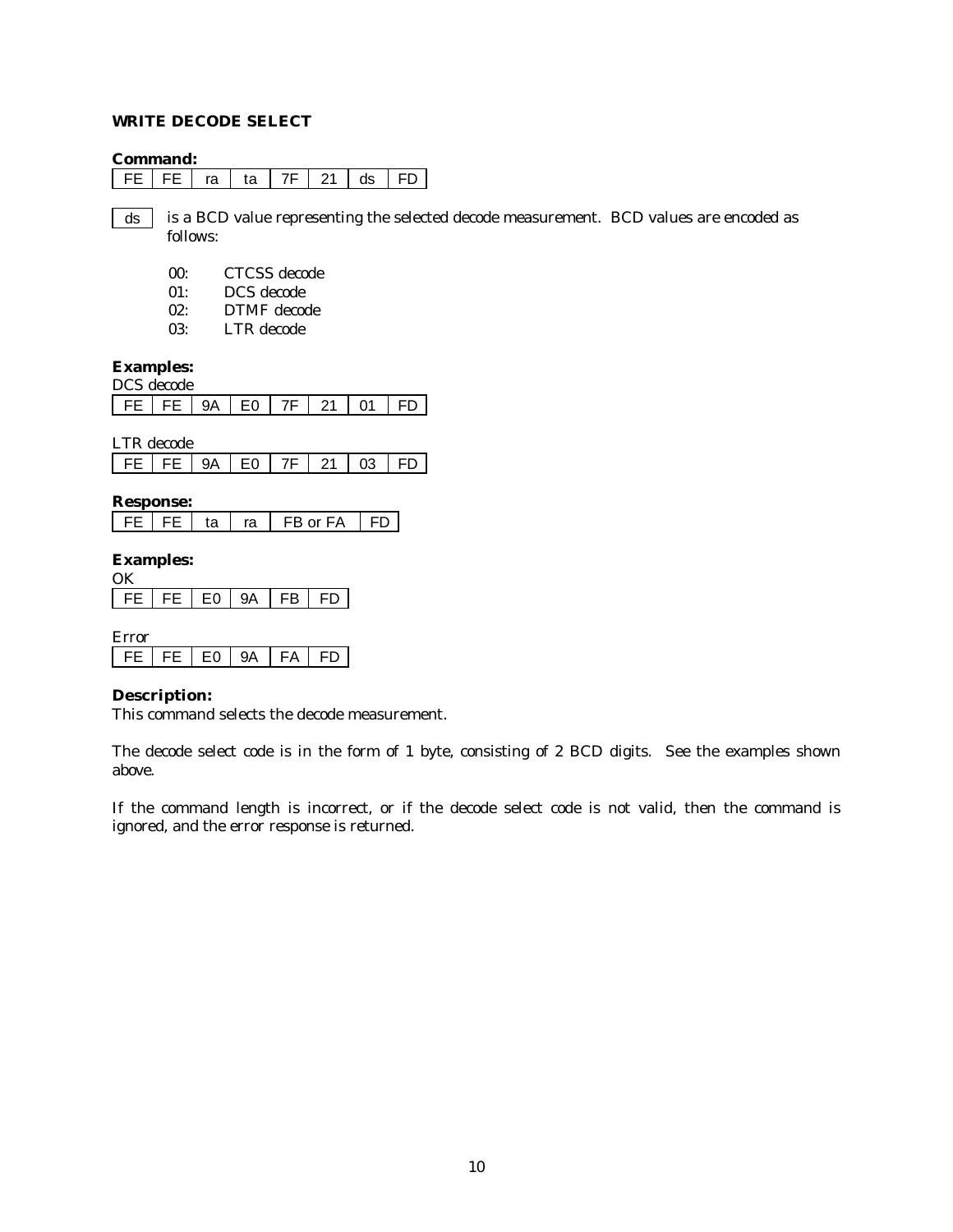#### **WRITE DECODE SELECT**

#### **Command:**

|  |  | ra |  |  |  | ~~ |  |
|--|--|----|--|--|--|----|--|
|--|--|----|--|--|--|----|--|

is a BCD value representing the selected decode measurement. BCD values are encoded as follows: ds

- 00: CTCSS decode
- 01: DCS decode
- 02: DTMF decode
- 03: LTR decode

## **Examples:**

| DCS decode |             |  |  |  |  |          |       |  |  |  |  |
|------------|-------------|--|--|--|--|----------|-------|--|--|--|--|
|            | FEIFEI9AIE0 |  |  |  |  | 7F 21 01 | I FD. |  |  |  |  |

LTR decode

| FE   FE   9A   EO   7F   21   03   FD |
|---------------------------------------|
|---------------------------------------|

#### **Response:**

| ta | ra | FB or FA | I FD |
|----|----|----------|------|
|----|----|----------|------|

#### **Examples:**

**OK** 

|  | r |  |
|--|---|--|

| Error |    |      |     |    |     |    |
|-------|----|------|-----|----|-----|----|
|       | ᄕᄃ | FF L | E0. | 9A | FA. | FD |

#### **Description:**

This command selects the decode measurement.

The decode select code is in the form of 1 byte, consisting of 2 BCD digits. See the examples shown above.

If the command length is incorrect, or if the decode select code is not valid, then the command is ignored, and the error response is returned.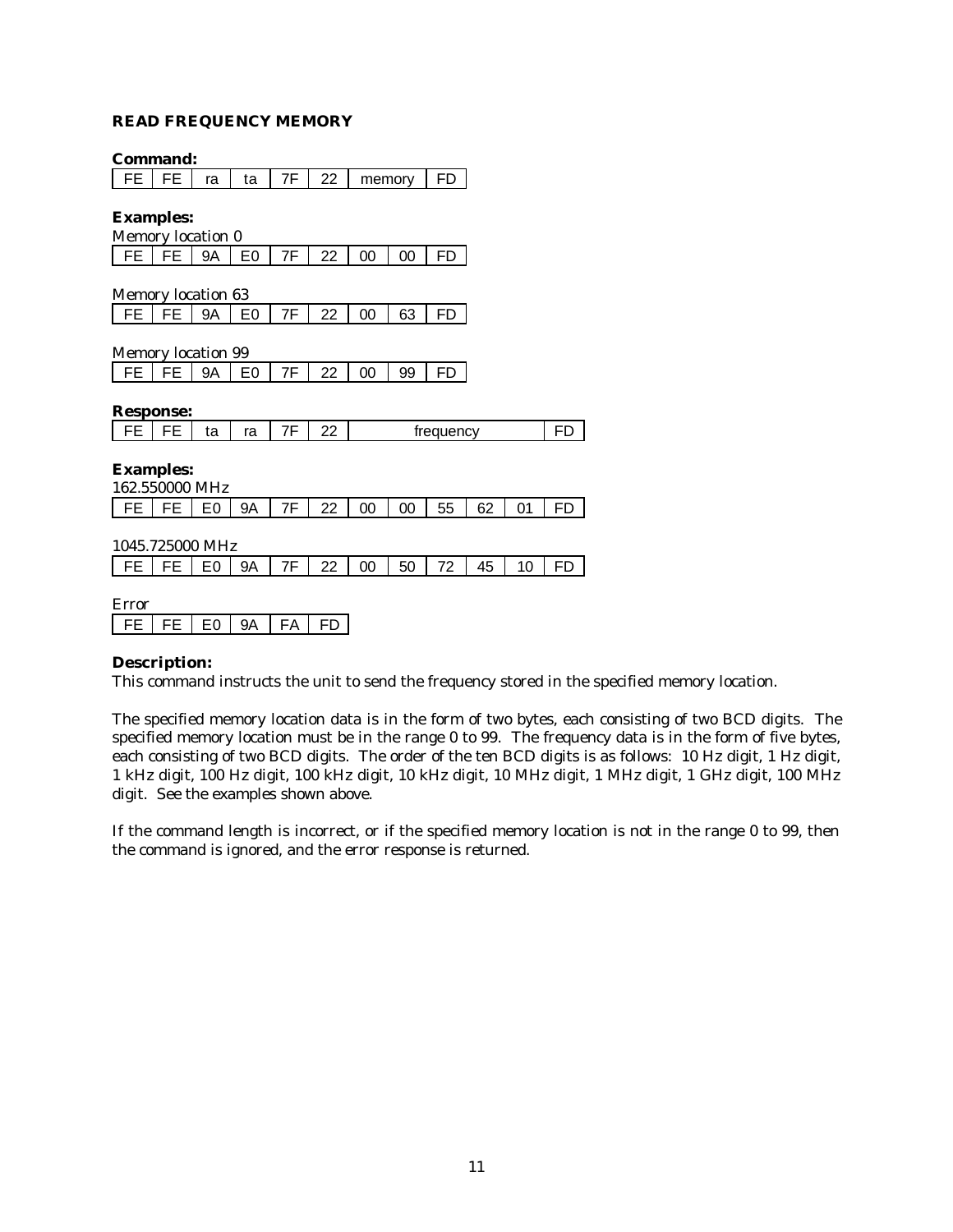#### **READ FREQUENCY MEMORY**

|                           | Command:         |                |                |    |    |        |        |           |    |    |    |
|---------------------------|------------------|----------------|----------------|----|----|--------|--------|-----------|----|----|----|
| <b>FE</b>                 | FE               | ra             | ta             | 7F | 22 |        | memory | FD        |    |    |    |
| <b>Examples:</b>          |                  |                |                |    |    |        |        |           |    |    |    |
| Memory location 0         |                  |                |                |    |    |        |        |           |    |    |    |
| <b>FE</b>                 | FE               | <b>9A</b>      | E <sub>0</sub> | 7F | 22 | $00\,$ | 00     | FD        |    |    |    |
| <b>Memory location 63</b> |                  |                |                |    |    |        |        |           |    |    |    |
| FE                        | FE               | 9Α             | E0             | 7F | 22 | 00     | 63     | FD        |    |    |    |
| Memory location 99        |                  |                |                |    |    |        |        |           |    |    |    |
| FE                        | FE               | 9Α             | E0             | 7F | 22 | 00     | 99     | FD        |    |    |    |
|                           | <b>Response:</b> |                |                |    |    |        |        |           |    |    |    |
| <b>FE</b>                 | FE               | ta             | ra             | 7F | 22 |        |        | frequency |    |    | FD |
| <b>Examples:</b>          | 162.550000 MHz   |                |                |    |    |        |        |           |    |    |    |
| FE.                       | FE               | E0             | 9Α             | 7F | 22 | 00     | 00     | 55        | 62 | 01 | FD |
|                           | 1045.725000 MHz  |                |                |    |    |        |        |           |    |    |    |
| FE                        | FE               | E0             | 9Α             | 7F | 22 | 00     | 50     | 72        | 45 | 10 | FD |
| Error                     |                  |                |                |    |    |        |        |           |    |    |    |
| FE                        | FE               | E <sub>0</sub> | <b>9A</b>      | FA | FD |        |        |           |    |    |    |

#### **Description:**

This command instructs the unit to send the frequency stored in the specified memory location.

The specified memory location data is in the form of two bytes, each consisting of two BCD digits. The specified memory location must be in the range 0 to 99. The frequency data is in the form of five bytes, each consisting of two BCD digits. The order of the ten BCD digits is as follows: 10 Hz digit, 1 Hz digit, 1 kHz digit, 100 Hz digit, 100 kHz digit, 10 kHz digit, 10 MHz digit, 1 MHz digit, 1 GHz digit, 100 MHz digit. See the examples shown above.

If the command length is incorrect, or if the specified memory location is not in the range 0 to 99, then the command is ignored, and the error response is returned.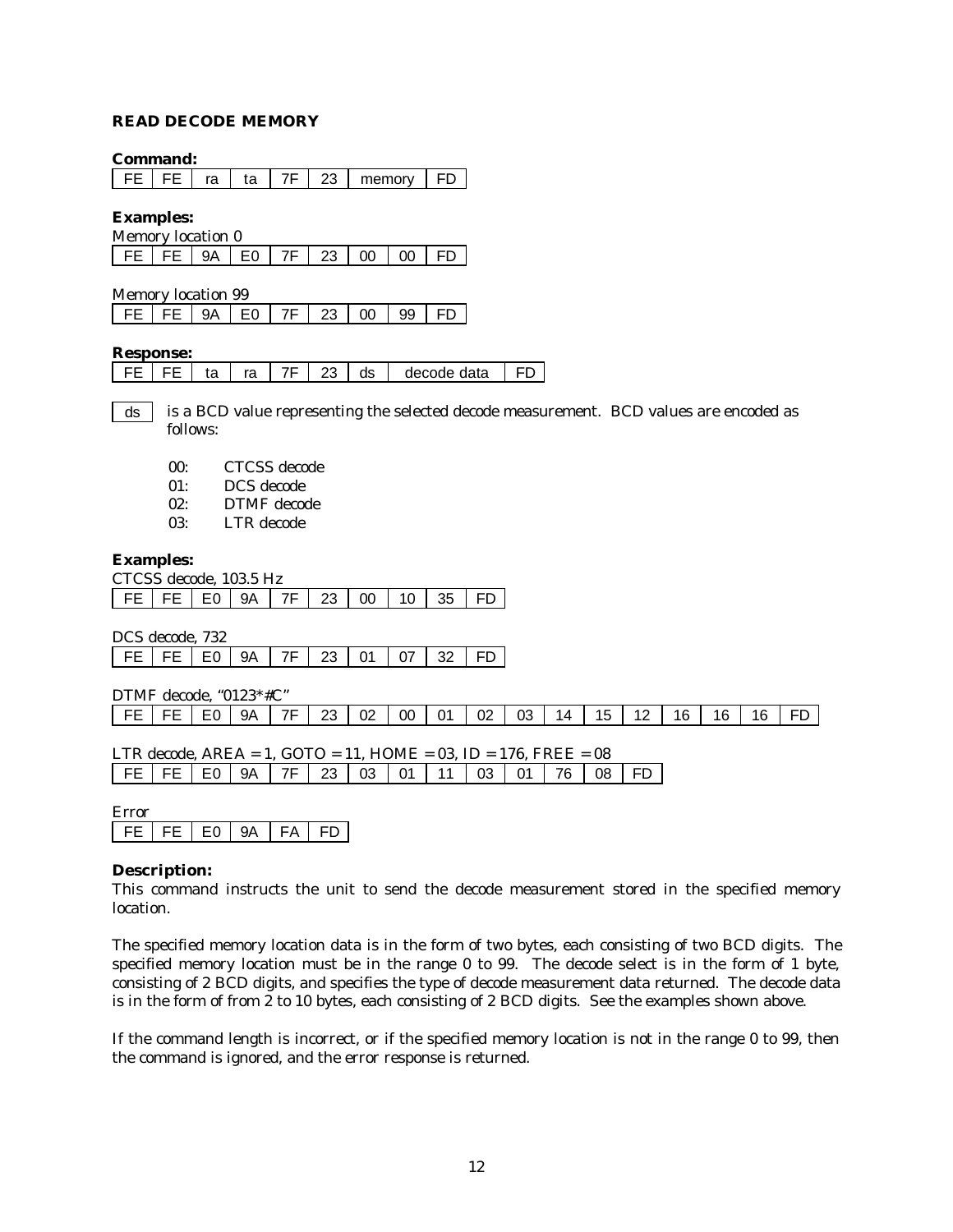#### **READ DECODE MEMORY**

#### **Command:**

|  |  | 23 | memory |  |
|--|--|----|--------|--|
|  |  |    |        |  |

**Examples:**

| Memory location 0                          |  |  |  |  |
|--------------------------------------------|--|--|--|--|
| FE   FE   9A   E0   7F   23   00   00   FD |  |  |  |  |

Memory location 99

| FE   FE   9A   E0   7F   23   00   99   FD |  |
|--------------------------------------------|--|
|--------------------------------------------|--|

#### **Response:**

|  |  |  |  |  | $\vert$ 23 $\vert$ | ds | decode data |  |
|--|--|--|--|--|--------------------|----|-------------|--|
|--|--|--|--|--|--------------------|----|-------------|--|

is a BCD value representing the selected decode measurement. BCD values are encoded as follows: ds

|  | 00: | CTCSS decode |
|--|-----|--------------|
|--|-----|--------------|

- 01: DCS decode
- 02: DTMF decode
- 03: LTR decode

#### **Examples:**

|  | CTCSS decode. 103.5 Hz                          |  |  |  |  |
|--|-------------------------------------------------|--|--|--|--|
|  | FE   FE   E0   9A   7F   23   00   10   35   FD |  |  |  |  |

DCS decode, 732

| FE   FE   E0   9A   7F   23   01   07   32   FD |  |  |  |  |  |  |  |  |  |
|-------------------------------------------------|--|--|--|--|--|--|--|--|--|
|-------------------------------------------------|--|--|--|--|--|--|--|--|--|

DTMF decode, "0123\*#C"

|                                                                    | FE   FE   E0   9A   7F   23   02   00   01   02   03 |  |  |  |  |  |  |  |  |  | 14   15   12   16 |  |  |  | - 16 I | - 16 |  |
|--------------------------------------------------------------------|------------------------------------------------------|--|--|--|--|--|--|--|--|--|-------------------|--|--|--|--------|------|--|
|                                                                    |                                                      |  |  |  |  |  |  |  |  |  |                   |  |  |  |        |      |  |
| LTR decode. $AREA = 1$ . GOTO = 11. HOME = 03. ID = 176. FREE = 08 |                                                      |  |  |  |  |  |  |  |  |  |                   |  |  |  |        |      |  |

| FE FE E0 9A 7F 23 03 01 11 03 01 76 08 FD |  |  |  |  |  |  |
|-------------------------------------------|--|--|--|--|--|--|

#### Error

|  |  | F0. |  | -94 | FA |  |
|--|--|-----|--|-----|----|--|
|--|--|-----|--|-----|----|--|

#### **Description:**

This command instructs the unit to send the decode measurement stored in the specified memory location.

The specified memory location data is in the form of two bytes, each consisting of two BCD digits. The specified memory location must be in the range 0 to 99. The decode select is in the form of 1 byte, consisting of 2 BCD digits, and specifies the type of decode measurement data returned. The decode data is in the form of from 2 to 10 bytes, each consisting of 2 BCD digits. See the examples shown above.

If the command length is incorrect, or if the specified memory location is not in the range 0 to 99, then the command is ignored, and the error response is returned.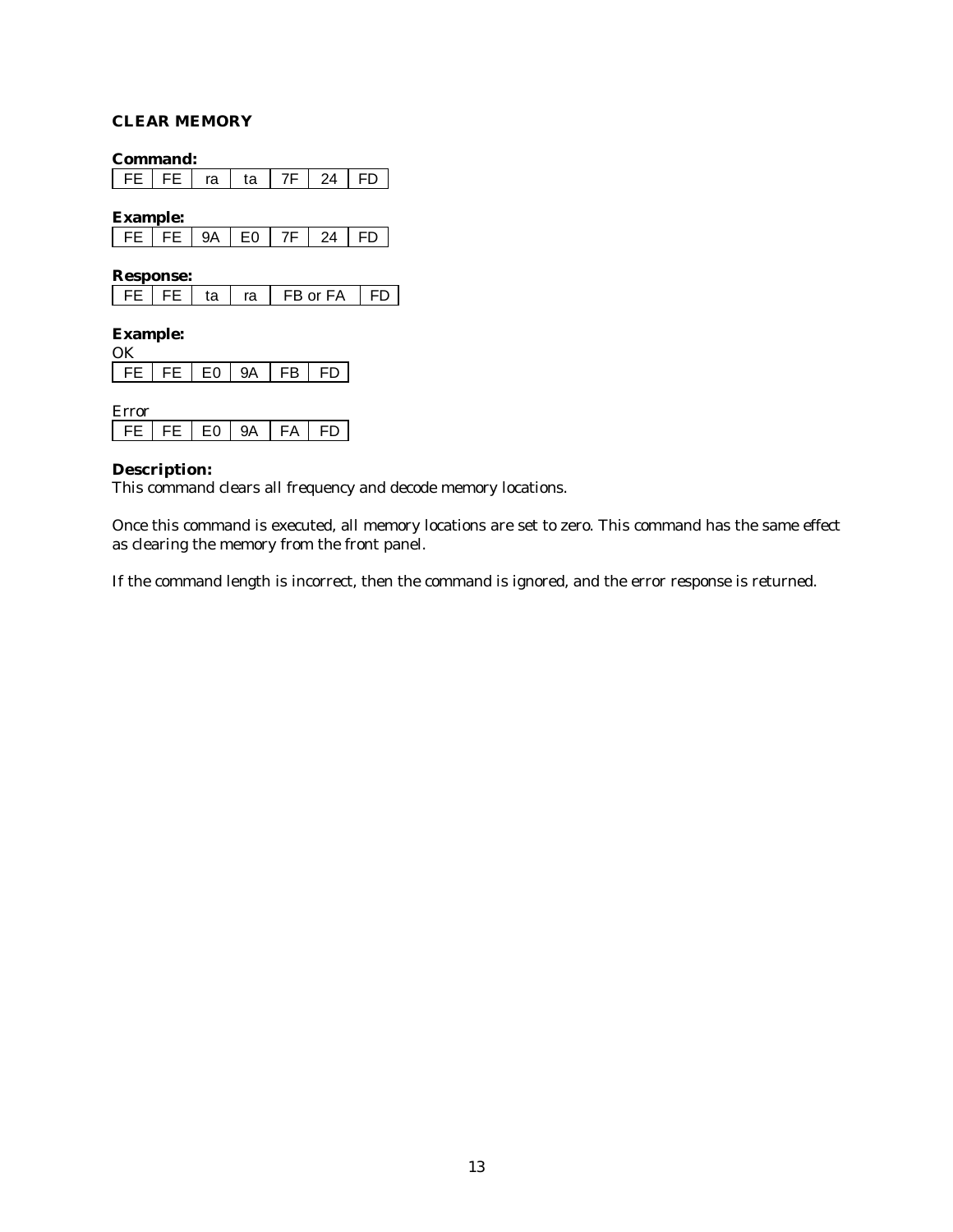## **CLEAR MEMORY**

**Command:**

FE | FE | ra | ta | 7F | 24 | FD |

**Example:**

| $\mathbf{I}$ | - | 1 I |  |
|--------------|---|-----|--|

**Response:**

| $\overline{1}$ FD $\overline{1}$<br>FB or FA<br>ta<br>ra |
|----------------------------------------------------------|
|----------------------------------------------------------|

#### **Example:**  $\alpha$

| $\cdots$ |    |    |      |    |
|----------|----|----|------|----|
|          | F٨ | ۵Δ | FR . | FD |

| <b>Error</b> |          |    |      |    |
|--------------|----------|----|------|----|
| EE L         | FE LEO L | QΑ | FA . | ыï |

#### **Description:**

This command clears all frequency and decode memory locations.

Once this command is executed, all memory locations are set to zero. This command has the same effect as clearing the memory from the front panel.